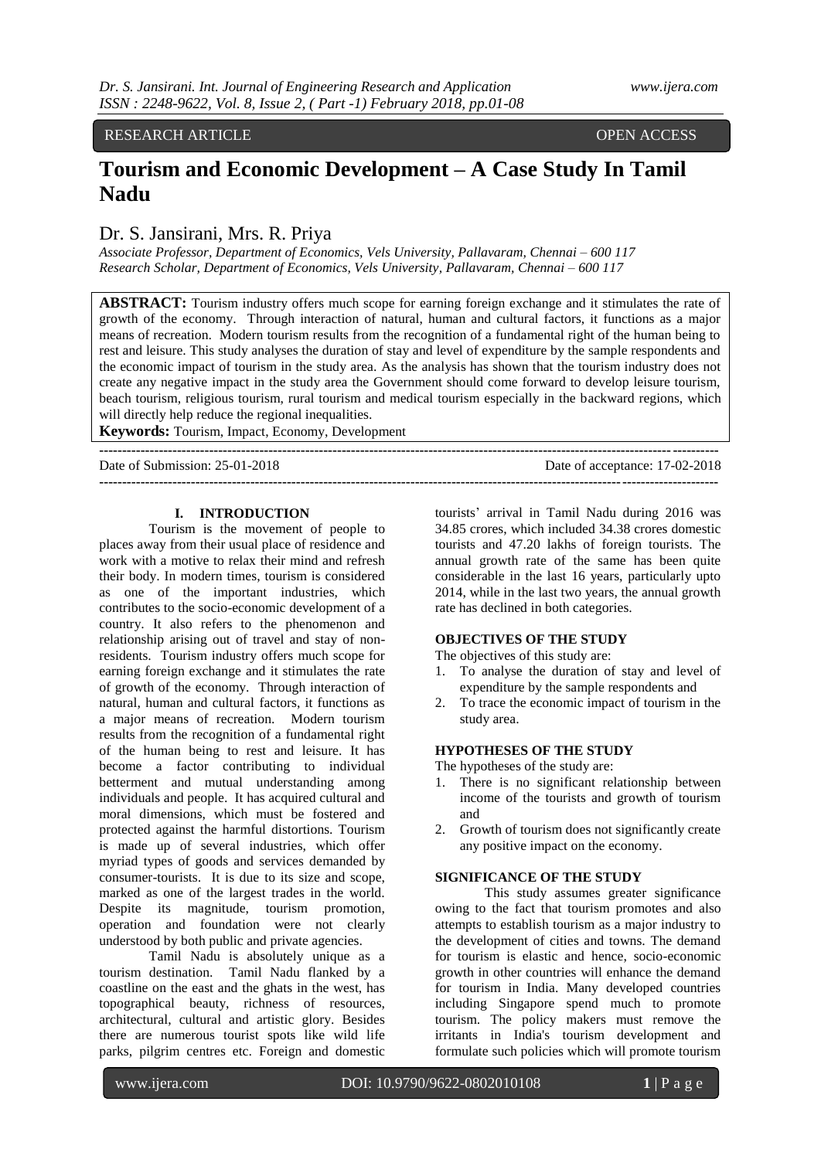# RESEARCH ARTICLE **CONSERVANCE OPEN ACCESS**

# **Tourism and Economic Development – A Case Study In Tamil Nadu**

# Dr. S. Jansirani, Mrs. R. Priya

*Associate Professor, Department of Economics, Vels University, Pallavaram, Chennai – 600 117 Research Scholar, Department of Economics, Vels University, Pallavaram, Chennai – 600 117*

**ABSTRACT:** Tourism industry offers much scope for earning foreign exchange and it stimulates the rate of growth of the economy. Through interaction of natural, human and cultural factors, it functions as a major means of recreation. Modern tourism results from the recognition of a fundamental right of the human being to rest and leisure. This study analyses the duration of stay and level of expenditure by the sample respondents and the economic impact of tourism in the study area. As the analysis has shown that the tourism industry does not create any negative impact in the study area the Government should come forward to develop leisure tourism, beach tourism, religious tourism, rural tourism and medical tourism especially in the backward regions, which will directly help reduce the regional inequalities.

**Keywords:** Tourism, Impact, Economy, Development

**---------------------------------------------------------------------------------------------------------------------------------------**

Date of acceptance: 17-02-2018 **---------------------------------------------------------------------------------------------------------------------------------------**

#### **I. INTRODUCTION**

Tourism is the movement of people to places away from their usual place of residence and work with a motive to relax their mind and refresh their body. In modern times, tourism is considered as one of the important industries, which contributes to the socio-economic development of a country. It also refers to the phenomenon and relationship arising out of travel and stay of nonresidents. Tourism industry offers much scope for earning foreign exchange and it stimulates the rate of growth of the economy. Through interaction of natural, human and cultural factors, it functions as a major means of recreation. Modern tourism results from the recognition of a fundamental right of the human being to rest and leisure. It has become a factor contributing to individual betterment and mutual understanding among individuals and people. It has acquired cultural and moral dimensions, which must be fostered and protected against the harmful distortions. Tourism is made up of several industries, which offer myriad types of goods and services demanded by consumer-tourists. It is due to its size and scope, marked as one of the largest trades in the world. Despite its magnitude, tourism promotion, operation and foundation were not clearly understood by both public and private agencies.

Tamil Nadu is absolutely unique as a tourism destination. Tamil Nadu flanked by a coastline on the east and the ghats in the west, has topographical beauty, richness of resources, architectural, cultural and artistic glory. Besides there are numerous tourist spots like wild life parks, pilgrim centres etc. Foreign and domestic

tourists' arrival in Tamil Nadu during 2016 was 34.85 crores, which included 34.38 crores domestic tourists and 47.20 lakhs of foreign tourists. The annual growth rate of the same has been quite considerable in the last 16 years, particularly upto 2014, while in the last two years, the annual growth rate has declined in both categories.

# **OBJECTIVES OF THE STUDY**

The objectives of this study are:

- 1. To analyse the duration of stay and level of expenditure by the sample respondents and
- 2. To trace the economic impact of tourism in the study area.

#### **HYPOTHESES OF THE STUDY**

The hypotheses of the study are:

- 1. There is no significant relationship between income of the tourists and growth of tourism and
- 2. Growth of tourism does not significantly create any positive impact on the economy.

#### **SIGNIFICANCE OF THE STUDY**

This study assumes greater significance owing to the fact that tourism promotes and also attempts to establish tourism as a major industry to the development of cities and towns. The demand for tourism is elastic and hence, socio-economic growth in other countries will enhance the demand for tourism in India. Many developed countries including Singapore spend much to promote tourism. The policy makers must remove the irritants in India's tourism development and formulate such policies which will promote tourism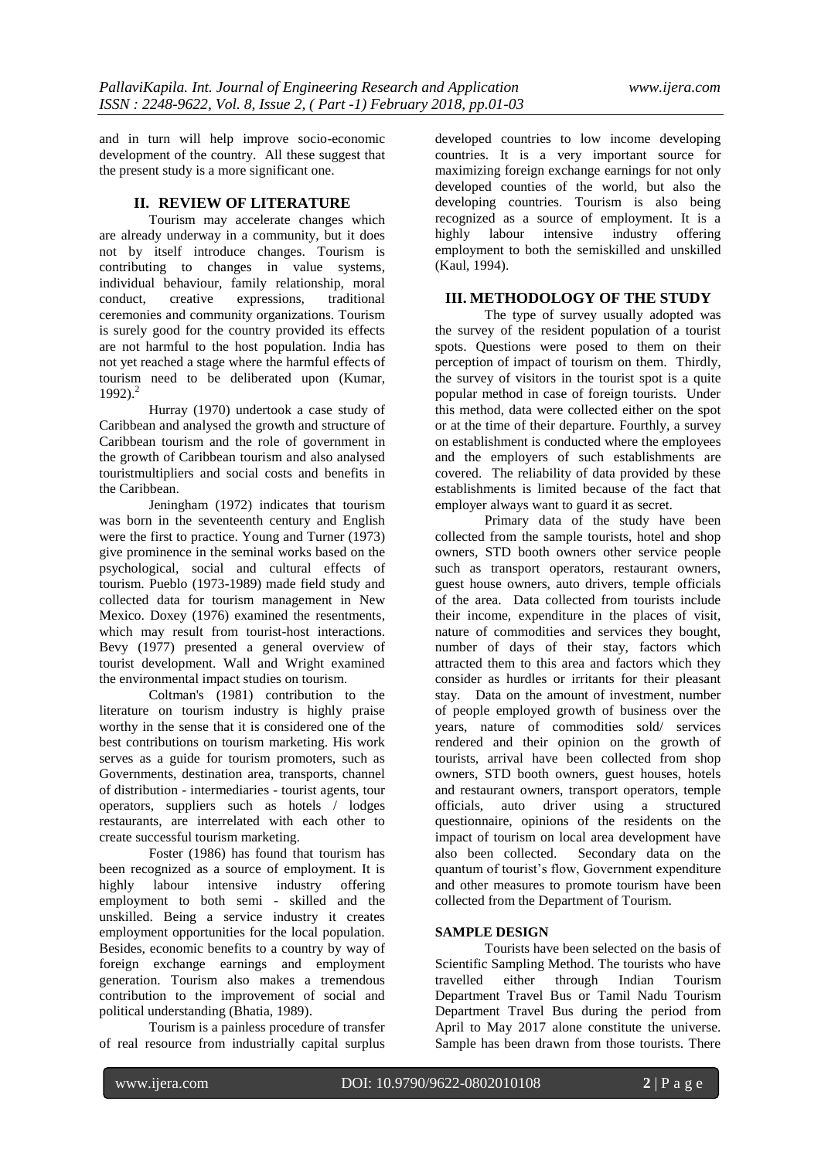and in turn will help improve socio-economic development of the country. All these suggest that the present study is a more significant one.

# **II. REVIEW OF LITERATURE**

Tourism may accelerate changes which are already underway in a community, but it does not by itself introduce changes. Tourism is contributing to changes in value systems, individual behaviour, family relationship, moral<br>conduct. creative expressions. traditional conduct, creative expressions, ceremonies and community organizations. Tourism is surely good for the country provided its effects are not harmful to the host population. India has not yet reached a stage where the harmful effects of tourism need to be deliberated upon (Kumar, 1992). 2

Hurray (1970) undertook a case study of Caribbean and analysed the growth and structure of Caribbean tourism and the role of government in the growth of Caribbean tourism and also analysed touristmultipliers and social costs and benefits in the Caribbean.

Jeningham (1972) indicates that tourism was born in the seventeenth century and English were the first to practice. Young and Turner (1973) give prominence in the seminal works based on the psychological, social and cultural effects of tourism. Pueblo (1973-1989) made field study and collected data for tourism management in New Mexico. Doxey (1976) examined the resentments, which may result from tourist-host interactions. Bevy (1977) presented a general overview of tourist development. Wall and Wright examined the environmental impact studies on tourism.

Coltman's (1981) contribution to the literature on tourism industry is highly praise worthy in the sense that it is considered one of the best contributions on tourism marketing. His work serves as a guide for tourism promoters, such as Governments, destination area, transports, channel of distribution - intermediaries - tourist agents, tour operators, suppliers such as hotels / lodges restaurants, are interrelated with each other to create successful tourism marketing.

Foster (1986) has found that tourism has been recognized as a source of employment. It is highly labour intensive industry offering employment to both semi - skilled and the unskilled. Being a service industry it creates employment opportunities for the local population. Besides, economic benefits to a country by way of foreign exchange earnings and employment generation. Tourism also makes a tremendous contribution to the improvement of social and political understanding (Bhatia, 1989).

Tourism is a painless procedure of transfer of real resource from industrially capital surplus

developed countries to low income developing countries. It is a very important source for maximizing foreign exchange earnings for not only developed counties of the world, but also the developing countries. Tourism is also being recognized as a source of employment. It is a highly labour intensive industry offering employment to both the semiskilled and unskilled (Kaul, 1994).

# **III. METHODOLOGY OF THE STUDY**

The type of survey usually adopted was the survey of the resident population of a tourist spots. Questions were posed to them on their perception of impact of tourism on them. Thirdly, the survey of visitors in the tourist spot is a quite popular method in case of foreign tourists. Under this method, data were collected either on the spot or at the time of their departure. Fourthly, a survey on establishment is conducted where the employees and the employers of such establishments are covered. The reliability of data provided by these establishments is limited because of the fact that employer always want to guard it as secret.

Primary data of the study have been collected from the sample tourists, hotel and shop owners, STD booth owners other service people such as transport operators, restaurant owners, guest house owners, auto drivers, temple officials of the area. Data collected from tourists include their income, expenditure in the places of visit, nature of commodities and services they bought, number of days of their stay, factors which attracted them to this area and factors which they consider as hurdles or irritants for their pleasant stay. Data on the amount of investment, number of people employed growth of business over the years, nature of commodities sold/ services rendered and their opinion on the growth of tourists, arrival have been collected from shop owners, STD booth owners, guest houses, hotels and restaurant owners, transport operators, temple officials, auto driver using a structured questionnaire, opinions of the residents on the impact of tourism on local area development have also been collected. Secondary data on the quantum of tourist's flow, Government expenditure and other measures to promote tourism have been collected from the Department of Tourism.

# **SAMPLE DESIGN**

Tourists have been selected on the basis of Scientific Sampling Method. The tourists who have travelled either through Indian Tourism Department Travel Bus or Tamil Nadu Tourism Department Travel Bus during the period from April to May 2017 alone constitute the universe. Sample has been drawn from those tourists. There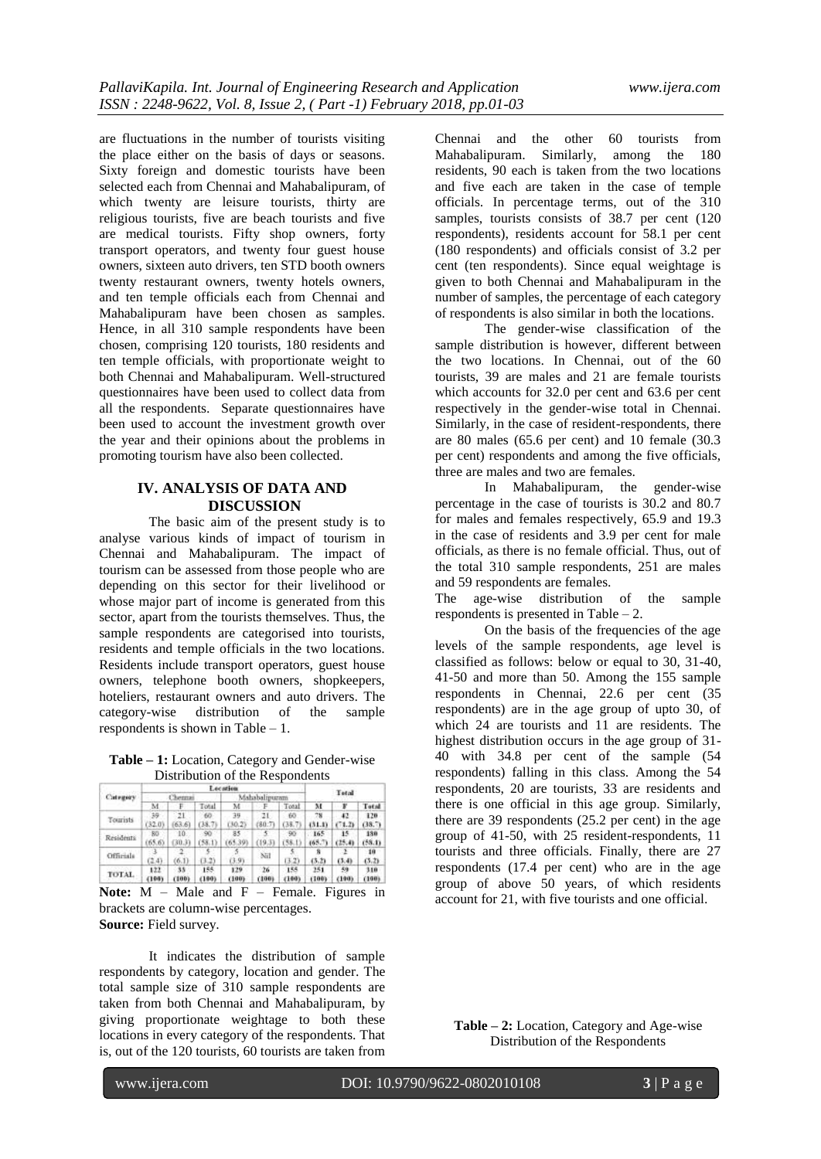are fluctuations in the number of tourists visiting the place either on the basis of days or seasons. Sixty foreign and domestic tourists have been selected each from Chennai and Mahabalipuram, of which twenty are leisure tourists, thirty are religious tourists, five are beach tourists and five are medical tourists. Fifty shop owners, forty transport operators, and twenty four guest house owners, sixteen auto drivers, ten STD booth owners twenty restaurant owners, twenty hotels owners, and ten temple officials each from Chennai and Mahabalipuram have been chosen as samples. Hence, in all 310 sample respondents have been chosen, comprising 120 tourists, 180 residents and ten temple officials, with proportionate weight to both Chennai and Mahabalipuram. Well-structured questionnaires have been used to collect data from all the respondents. Separate questionnaires have been used to account the investment growth over the year and their opinions about the problems in promoting tourism have also been collected.

# **IV. ANALYSIS OF DATA AND DISCUSSION**

The basic aim of the present study is to analyse various kinds of impact of tourism in Chennai and Mahabalipuram. The impact of tourism can be assessed from those people who are depending on this sector for their livelihood or whose major part of income is generated from this sector, apart from the tourists themselves. Thus, the sample respondents are categorised into tourists, residents and temple officials in the two locations. Residents include transport operators, guest house owners, telephone booth owners, shopkeepers, hoteliers, restaurant owners and auto drivers. The category-wise distribution of the sample respondents is shown in Table – 1.

**Table – 1:** Location, Category and Gender-wise Distribution of the Respondents

| Category        |                           |             |              | Lecation     |             |              |               |              |               |
|-----------------|---------------------------|-------------|--------------|--------------|-------------|--------------|---------------|--------------|---------------|
|                 |                           | Chennai     |              | abalinuran   |             | Tetal        |               |              |               |
|                 | М                         |             | Total        | м            | F           | Total        | м             |              | Total         |
| <b>Tourists</b> | 39<br>32.03               | 21<br>63.6  | 60<br>38.    | 39<br>(30.2) | 21<br>80.7  | 60<br>(38.7  | 78<br>(31.1)  | 42<br>(71.2) | 120<br>(38.7) |
| Residents       | BO <sub>1</sub><br>(65.6) | 10.<br>30.3 | 90<br>(58.1) | 85<br>65.39  | 19.3        | 90           | 165<br>(65.7) | 15<br>(25.4) | 139<br>(58.1) |
| Officials       | (2.4)                     | (6,1)       | 0.2          | (3.9)        | Nil         | (3,2)        | (5,2)         | (3, 4)       | 10<br>(3,2)   |
| TOTAL.          | 122<br>4199               | 35<br>(100) | 155<br>(199) | 129<br>(100) | 26<br>(100) | 155<br>(100) | 251<br>(100)  | 59<br>(190)  | 310<br>(100)  |

**Note:** M – Male and F – Female. Figures in brackets are column-wise percentages. **Source:** Field survey.

It indicates the distribution of sample respondents by category, location and gender. The total sample size of 310 sample respondents are taken from both Chennai and Mahabalipuram, by giving proportionate weightage to both these locations in every category of the respondents. That is, out of the 120 tourists, 60 tourists are taken from Chennai and the other 60 tourists from Mahabalipuram. Similarly, among the 180 residents, 90 each is taken from the two locations and five each are taken in the case of temple officials. In percentage terms, out of the 310 samples, tourists consists of 38.7 per cent (120 respondents), residents account for 58.1 per cent (180 respondents) and officials consist of 3.2 per cent (ten respondents). Since equal weightage is given to both Chennai and Mahabalipuram in the number of samples, the percentage of each category of respondents is also similar in both the locations.

The gender-wise classification of the sample distribution is however, different between the two locations. In Chennai, out of the 60 tourists, 39 are males and 21 are female tourists which accounts for 32.0 per cent and 63.6 per cent respectively in the gender-wise total in Chennai. Similarly, in the case of resident-respondents, there are 80 males (65.6 per cent) and 10 female (30.3 per cent) respondents and among the five officials, three are males and two are females.

In Mahabalipuram, the gender-wise percentage in the case of tourists is 30.2 and 80.7 for males and females respectively, 65.9 and 19.3 in the case of residents and 3.9 per cent for male officials, as there is no female official. Thus, out of the total 310 sample respondents, 251 are males and 59 respondents are females.

The age-wise distribution of the sample respondents is presented in Table – 2.

On the basis of the frequencies of the age levels of the sample respondents, age level is classified as follows: below or equal to 30, 31-40, 41-50 and more than 50. Among the 155 sample respondents in Chennai, 22.6 per cent (35 respondents) are in the age group of upto 30, of which 24 are tourists and 11 are residents. The highest distribution occurs in the age group of 31- 40 with 34.8 per cent of the sample (54 respondents) falling in this class. Among the 54 respondents, 20 are tourists, 33 are residents and there is one official in this age group. Similarly, there are 39 respondents (25.2 per cent) in the age group of 41-50, with 25 resident-respondents, 11 tourists and three officials. Finally, there are 27 respondents (17.4 per cent) who are in the age group of above 50 years, of which residents account for 21, with five tourists and one official.

**Table – 2:** Location, Category and Age-wise Distribution of the Respondents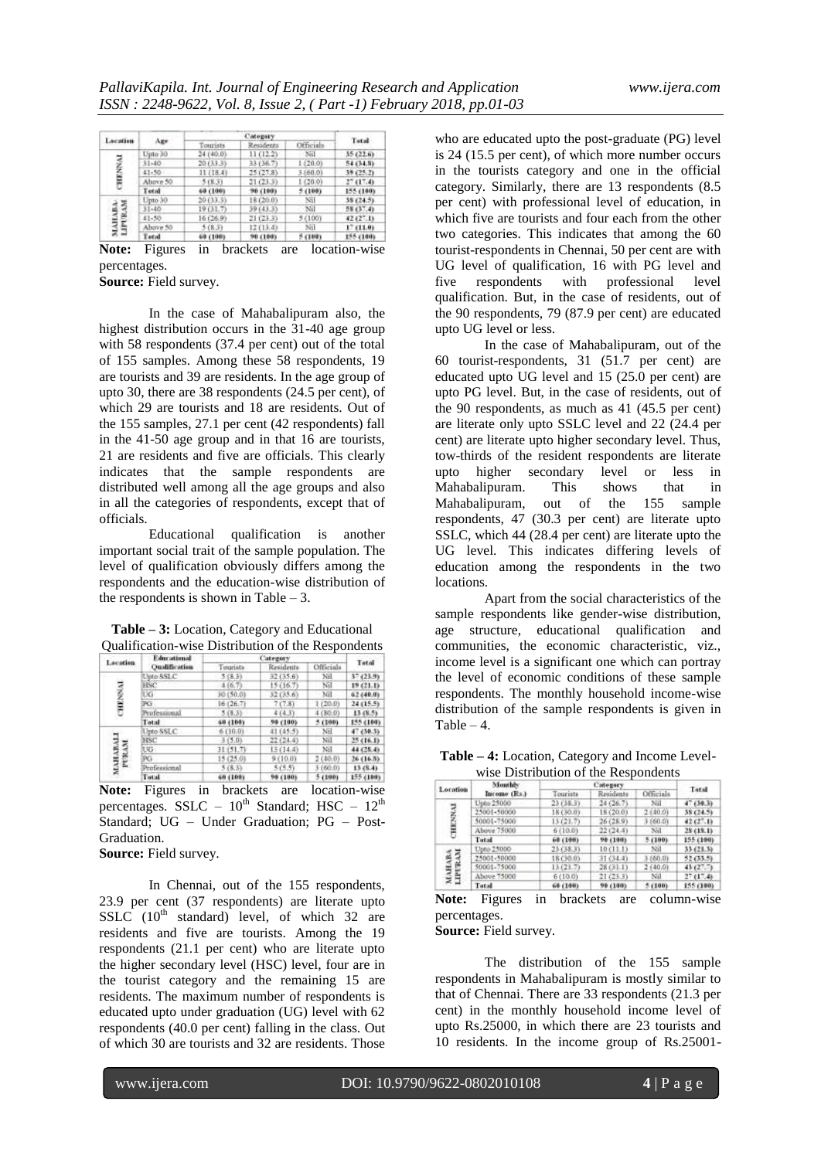| Lacation              |           |           | Cidogary   |           |           |  |
|-----------------------|-----------|-----------|------------|-----------|-----------|--|
|                       | Aze       | Tourists  | Residents  | Officials | Total     |  |
|                       | Upto 30   | 24 (40.0) | 11(12.2)   | Nil       | 35(22.6)  |  |
|                       | 31-40     | 20(33.3)  | 33 (36.7). | 1(20.0)   | 54 (34.8) |  |
| ξ                     | $41 - 50$ | 11 (18.4) | 25(27.8)   | 3 (60.0)  | 39 (25.2) |  |
|                       | Above 50  | 5(83)     | 21(23.3)   | 1(20.0)   | 27(17.4)  |  |
|                       | Tetal     | 69 (100)  | 90 (100)   | 5 (199)   | 155 (100) |  |
|                       | Upto 30   | 20 (33.3) | 18 (20.0). | Ni        | 58 (24.5) |  |
|                       | $31 - 40$ | 19(31.7)  | 39 (43.3)  | $-NII$    | 58 (37.4) |  |
| МАНАБА<br>ПРИВА<br>ø, | 41-50     | 16(26.9)  | 21(23.3)   | 5 (100)   | 42 (27.1) |  |
|                       | Above 50  | 5(8.3)    | 12(13,4)   | Nil       | 17 (11.0) |  |
|                       | Tetal     | 69 (100)  | 90 (100)   | 541001    | 155 (100) |  |

**Note:** Figures in brackets are location-wise percentages.

**Source:** Field survey.

In the case of Mahabalipuram also, the highest distribution occurs in the 31-40 age group with 58 respondents (37.4 per cent) out of the total of 155 samples. Among these 58 respondents, 19 are tourists and 39 are residents. In the age group of upto 30, there are 38 respondents (24.5 per cent), of which 29 are tourists and 18 are residents. Out of the 155 samples, 27.1 per cent (42 respondents) fall in the 41-50 age group and in that 16 are tourists, 21 are residents and five are officials. This clearly indicates that the sample respondents are distributed well among all the age groups and also in all the categories of respondents, except that of officials.

Educational qualification is another important social trait of the sample population. The level of qualification obviously differs among the respondents and the education-wise distribution of the respondents is shown in Table  $-3$ .

| Lacation        | Educational          |           | Tetal       |                  |           |
|-----------------|----------------------|-----------|-------------|------------------|-----------|
|                 | <b>Qualification</b> | Tuurista  | Residents   | <b>Officials</b> |           |
|                 | Upto SSLC            | 5(8.3)    | 32 (35.6)   | Nil              | 37 (23.9) |
| <b>CHENNAI</b>  | HSC                  | 4(6,7)    | 15 (16.7)   | Nil              | 19(21.1)  |
|                 | UG                   | 30 (50.0) | 32 (35.6)   | Nil              | 62 (49.9) |
|                 | PG                   | 16(26.7)  | 7(7.8)      | 1120.03          | 24(15.5)  |
|                 | Professional         | 5(8.3)    | 4(4,3)      | 4(80.0)          | 13(8.5)   |
|                 | Total                | 60 (198)  | 98 (100)    | 5 (100)          | 155 (160) |
|                 | Upto SSLC            | 6110.03   | 41 (45.5)   | Nil              | 47(30.3)  |
|                 | HSC                  | 3(5.0)    | $-22(24.4)$ | Nil              | 25(16.1)  |
| ä               | UG-                  | 31(51.7)  | 13(14.4)    | Nil              | 44 (28.4) |
| MAHABALI<br>pep | PG                   | 15(25.0)  | 9 (10.0)    | 2(40.0)          | 26(16.5)  |
|                 | Professional         | 5(8.3)    | 5(5.5)      | 3 (60.0)         | 13 (8.4)  |
|                 | Total                | 60 (100)  | 98 (180)    | 5(100)           | 155 (180) |

**Table – 3:** Location, Category and Educational Qualification-wise Distribution of the Respondents

**Note:** Figures in brackets are location-wise percentages. SSLC –  $10^{th}$  Standard; HSC –  $12^{th}$ Standard; UG – Under Graduation; PG – Post-Graduation.

**Source:** Field survey.

In Chennai, out of the 155 respondents, 23.9 per cent (37 respondents) are literate upto SSLC  $(10^{th}$  standard) level, of which 32 are residents and five are tourists. Among the 19 respondents (21.1 per cent) who are literate upto the higher secondary level (HSC) level, four are in the tourist category and the remaining 15 are residents. The maximum number of respondents is educated upto under graduation (UG) level with 62 respondents (40.0 per cent) falling in the class. Out of which 30 are tourists and 32 are residents. Those

who are educated upto the post-graduate (PG) level is 24 (15.5 per cent), of which more number occurs in the tourists category and one in the official category. Similarly, there are 13 respondents (8.5 per cent) with professional level of education, in which five are tourists and four each from the other two categories. This indicates that among the 60 tourist-respondents in Chennai, 50 per cent are with UG level of qualification, 16 with PG level and five respondents with professional level qualification. But, in the case of residents, out of the 90 respondents, 79 (87.9 per cent) are educated upto UG level or less.

In the case of Mahabalipuram, out of the 60 tourist-respondents, 31 (51.7 per cent) are educated upto UG level and 15 (25.0 per cent) are upto PG level. But, in the case of residents, out of the 90 respondents, as much as 41 (45.5 per cent) are literate only upto SSLC level and 22 (24.4 per cent) are literate upto higher secondary level. Thus, tow-thirds of the resident respondents are literate upto higher secondary level or less in Mahabalipuram. This shows that in Mahabalipuram, out of the 155 sample respondents, 47 (30.3 per cent) are literate upto SSLC, which 44 (28.4 per cent) are literate upto the UG level. This indicates differing levels of education among the respondents in the two locations.

Apart from the social characteristics of the sample respondents like gender-wise distribution, age structure, educational qualification and communities, the economic characteristic, viz., income level is a significant one which can portray the level of economic conditions of these sample respondents. The monthly household income-wise distribution of the sample respondents is given in Table  $-4$ .

**Table – 4:** Location, Category and Income Levelwise Distribution of the Respondents

| Location                | Monthly      |           |           |              |           |
|-------------------------|--------------|-----------|-----------|--------------|-----------|
|                         | Income (Rs.) | Tourists  | Residents | Officials    | Tatal     |
|                         | Upto 25000   | 23(38.3)  | 24(26.7)  | Nil.         | 47(30.3)  |
|                         | 25001-50000  | 18 (30.0) | [8(20.0)  | 2(40.0)      | 58 (24.5) |
| ENNAJ                   | 50001-75000  | 15 (21.7) | 26 (28.9) | 3 (60.0)     | 42 (27.1) |
| 몸                       | Above 75000  | 6 (10.0)  | 22(24.4)  | Nil          | 28(18.1)  |
|                         | Total        | 60 (100)  | 98 (190)  | 5(100)       | 155 (100) |
|                         | Upto 25000   | 23(38.3)  | 10(11.1)  | Nil :        | 33 (21.3) |
|                         | 25001-50000  | 18 (30.0) | 31 (34.4) | $3 - 160.01$ | 52 (33.5) |
| <b>МАНАВА</b><br>ШРИКАМ | 50001-75000  | 13 (21.7) | 28(311)   | 2 f40.01     | 43 (27.7) |
|                         | Above 75000  | 6 (10.0)  | 21(23.3)  | Nil          | 27(17.4)  |
|                         | Total        | 69 (100)  | 99 (100)  | 5(100)       | 155 (100) |

**Note:** Figures in brackets are column-wise percentages.

**Source:** Field survey.

The distribution of the 155 sample respondents in Mahabalipuram is mostly similar to that of Chennai. There are 33 respondents (21.3 per cent) in the monthly household income level of upto Rs.25000, in which there are 23 tourists and 10 residents. In the income group of Rs.25001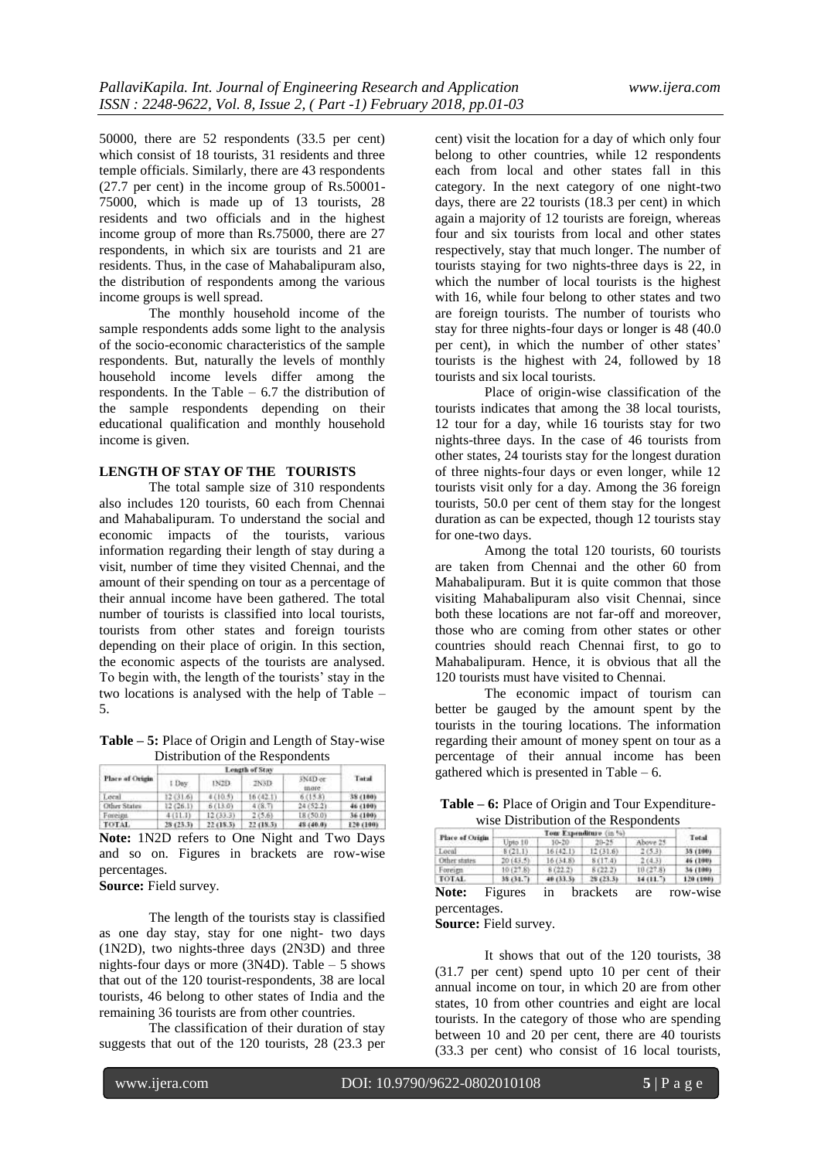50000, there are 52 respondents (33.5 per cent) which consist of 18 tourists, 31 residents and three temple officials. Similarly, there are 43 respondents (27.7 per cent) in the income group of Rs.50001- 75000, which is made up of 13 tourists, 28 residents and two officials and in the highest income group of more than Rs.75000, there are 27 respondents, in which six are tourists and 21 are residents. Thus, in the case of Mahabalipuram also, the distribution of respondents among the various income groups is well spread.

The monthly household income of the sample respondents adds some light to the analysis of the socio-economic characteristics of the sample respondents. But, naturally the levels of monthly household income levels differ among the respondents. In the Table – 6.7 the distribution of the sample respondents depending on their educational qualification and monthly household income is given.

#### **LENGTH OF STAY OF THE TOURISTS**

The total sample size of 310 respondents also includes 120 tourists, 60 each from Chennai and Mahabalipuram. To understand the social and economic impacts of the tourists, various information regarding their length of stay during a visit, number of time they visited Chennai, and the amount of their spending on tour as a percentage of their annual income have been gathered. The total number of tourists is classified into local tourists, tourists from other states and foreign tourists depending on their place of origin. In this section, the economic aspects of the tourists are analysed. To begin with, the length of the tourists' stay in the two locations is analysed with the help of Table – 5.

**Table – 5:** Place of Origin and Length of Stay-wise Distribution of the Respondents

| Place of Origin | I Day     | IN2D:     | <b>INSD</b> | SN4D or<br>more | Total     |
|-----------------|-----------|-----------|-------------|-----------------|-----------|
| Local           | 12 (31.6) | 4 (10.5)  | 16(42.1)    | 6(15.8)         | 38 (180)  |
| Other States    | 12 (26.1) | 5 (13.0)  | 478.71      | 24(52.2)        | 46 (100)  |
| Foreign         | 4(11.3)   | 12(33,3)  | 215,61      | 18/50.07        | 36 (100)  |
| TOTAL           | 25 (23.3) | 22 (18.5) | 22 (18.5)   | 48 (40.0)       | 120 (199) |

**Note:** 1N2D refers to One Night and Two Days and so on. Figures in brackets are row-wise percentages.

**Source:** Field survey.

The length of the tourists stay is classified as one day stay, stay for one night- two days (1N2D), two nights-three days (2N3D) and three nights-four days or more (3N4D). Table – 5 shows that out of the 120 tourist-respondents, 38 are local tourists, 46 belong to other states of India and the remaining 36 tourists are from other countries.

The classification of their duration of stay suggests that out of the 120 tourists, 28 (23.3 per cent) visit the location for a day of which only four belong to other countries, while 12 respondents each from local and other states fall in this category. In the next category of one night-two days, there are 22 tourists (18.3 per cent) in which again a majority of 12 tourists are foreign, whereas four and six tourists from local and other states respectively, stay that much longer. The number of tourists staying for two nights-three days is 22, in which the number of local tourists is the highest with 16, while four belong to other states and two are foreign tourists. The number of tourists who stay for three nights-four days or longer is 48 (40.0 per cent), in which the number of other states' tourists is the highest with 24, followed by 18 tourists and six local tourists.

Place of origin-wise classification of the tourists indicates that among the 38 local tourists, 12 tour for a day, while 16 tourists stay for two nights-three days. In the case of 46 tourists from other states, 24 tourists stay for the longest duration of three nights-four days or even longer, while 12 tourists visit only for a day. Among the 36 foreign tourists, 50.0 per cent of them stay for the longest duration as can be expected, though 12 tourists stay for one-two days.

Among the total 120 tourists, 60 tourists are taken from Chennai and the other 60 from Mahabalipuram. But it is quite common that those visiting Mahabalipuram also visit Chennai, since both these locations are not far-off and moreover, those who are coming from other states or other countries should reach Chennai first, to go to Mahabalipuram. Hence, it is obvious that all the 120 tourists must have visited to Chennai.

The economic impact of tourism can better be gauged by the amount spent by the tourists in the touring locations. The information regarding their amount of money spent on tour as a percentage of their annual income has been gathered which is presented in Table  $-6$ .

| <b>Table – 6:</b> Place of Origin and Tour Expenditure- |
|---------------------------------------------------------|
| wise Distribution of the Respondents                    |

| Place of Origin |           | Total     |           |           |           |
|-----------------|-----------|-----------|-----------|-----------|-----------|
|                 | Upto 10   | $10 - 20$ | $20 - 25$ | Above 25  |           |
| Local           | 8(21.1)   | 16(42.1)  | 12(31.6)  | 2(53)     | 35 (100)  |
| Other states    | 20143.5). | 16(34.8)  | \$(17,4)  | 2(4.3)    | 46 (100)  |
| Foreign         | 10(27.8)  | 8(22.2)   | 8(22.2)   | 10/27.87  | 34 (199)  |
| TOTAL.          | 38 (31.7) | 40 (33.5) | 28 (23.3) | 14 (11.7) | 120 (199) |

**Note:** Figures in brackets are row-wise percentages.

**Source:** Field survey.

It shows that out of the 120 tourists, 38 (31.7 per cent) spend upto 10 per cent of their annual income on tour, in which 20 are from other states, 10 from other countries and eight are local tourists. In the category of those who are spending between 10 and 20 per cent, there are 40 tourists (33.3 per cent) who consist of 16 local tourists,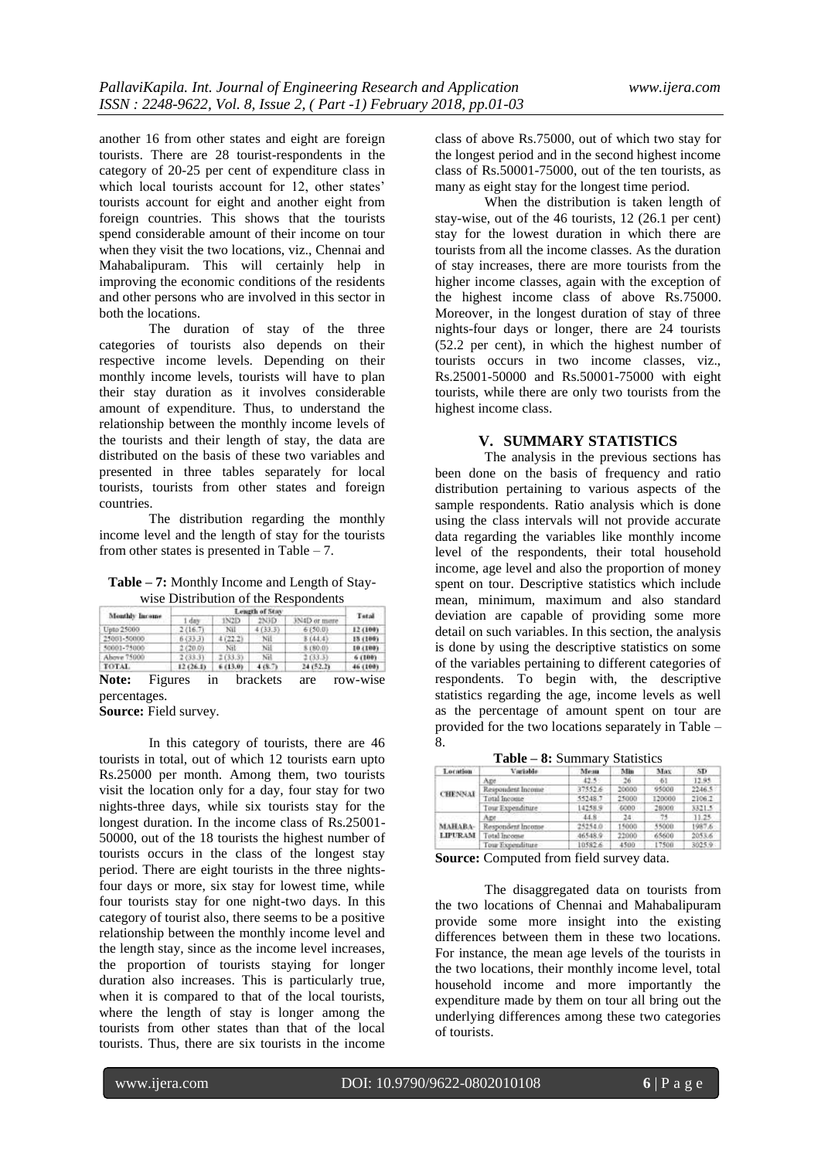another 16 from other states and eight are foreign tourists. There are 28 tourist-respondents in the category of 20-25 per cent of expenditure class in which local tourists account for 12, other states' tourists account for eight and another eight from foreign countries. This shows that the tourists spend considerable amount of their income on tour when they visit the two locations, viz., Chennai and Mahabalipuram. This will certainly help in improving the economic conditions of the residents and other persons who are involved in this sector in both the locations.

The duration of stay of the three categories of tourists also depends on their respective income levels. Depending on their monthly income levels, tourists will have to plan their stay duration as it involves considerable amount of expenditure. Thus, to understand the relationship between the monthly income levels of the tourists and their length of stay, the data are distributed on the basis of these two variables and presented in three tables separately for local tourists, tourists from other states and foreign countries.

The distribution regarding the monthly income level and the length of stay for the tourists from other states is presented in Table  $-7$ .

**Table – 7:** Monthly Income and Length of Staywise Distribution of the Respondents

|                       | Length of Stro |         |         |              | Tetal    |  |
|-----------------------|----------------|---------|---------|--------------|----------|--|
| <b>Monthly Income</b> | 1 day          | 1N2D    | 2N3D    | 3N4D or more |          |  |
| Upto 25600            | 2(16.7)        | Nil:    | 4(33.3) | 6150.01      | 12 (100) |  |
| 25003-50000           | 6(333)         | 4(22.2) | Nil     | \$(44.4)     | 15 (100) |  |
| 50001-75000           | 2(20.0)        | Nil     | Nil     | \$180.01     | 10 (199) |  |
| Ahove 75000           | 2(33.3)        | 2(33.3) | Nil     | 2(33.3)      | 6 (100)  |  |
| TOTAL                 | 12(26.1)       | 6(13.0) | 4(8.7)  | 24 (52.2)    | 46 (100) |  |

percentages.

**Source:** Field survey.

In this category of tourists, there are 46 tourists in total, out of which 12 tourists earn upto Rs.25000 per month. Among them, two tourists visit the location only for a day, four stay for two nights-three days, while six tourists stay for the longest duration. In the income class of Rs.25001- 50000, out of the 18 tourists the highest number of tourists occurs in the class of the longest stay period. There are eight tourists in the three nightsfour days or more, six stay for lowest time, while four tourists stay for one night-two days. In this category of tourist also, there seems to be a positive relationship between the monthly income level and the length stay, since as the income level increases, the proportion of tourists staying for longer duration also increases. This is particularly true, when it is compared to that of the local tourists, where the length of stay is longer among the tourists from other states than that of the local tourists. Thus, there are six tourists in the income

class of above Rs.75000, out of which two stay for the longest period and in the second highest income class of Rs.50001-75000, out of the ten tourists, as many as eight stay for the longest time period.

When the distribution is taken length of stay-wise, out of the 46 tourists, 12 (26.1 per cent) stay for the lowest duration in which there are tourists from all the income classes. As the duration of stay increases, there are more tourists from the higher income classes, again with the exception of the highest income class of above Rs.75000. Moreover, in the longest duration of stay of three nights-four days or longer, there are 24 tourists (52.2 per cent), in which the highest number of tourists occurs in two income classes, viz., Rs.25001-50000 and Rs.50001-75000 with eight tourists, while there are only two tourists from the highest income class.

#### **V. SUMMARY STATISTICS**

The analysis in the previous sections has been done on the basis of frequency and ratio distribution pertaining to various aspects of the sample respondents. Ratio analysis which is done using the class intervals will not provide accurate data regarding the variables like monthly income level of the respondents, their total household income, age level and also the proportion of money spent on tour. Descriptive statistics which include mean, minimum, maximum and also standard deviation are capable of providing some more detail on such variables. In this section, the analysis is done by using the descriptive statistics on some of the variables pertaining to different categories of respondents. To begin with, the descriptive statistics regarding the age, income levels as well as the percentage of amount spent on tour are provided for the two locations separately in Table – 8.

**Table – 8:** Summary Statistics

| Location       | Variable          | Мези    | Min    | Max    | SD <sub>1</sub> |
|----------------|-------------------|---------|--------|--------|-----------------|
|                | Aze               | 42.5%   | $-26$  | 61     | 12.95           |
| <b>CHENNAL</b> | Respondent Income | 37552.6 | 20000  | 95000  | 2246.5          |
|                | Total Income      | 55248.7 | 25000  | 120000 | 2106.2          |
|                | Tour Expenditure  | 142589  | 6000   | 28000  | 3321.5          |
|                | Aze               | 44.8    | $24 -$ | 74.    | 11.25           |
| <b>MAHABA-</b> | Respondent Income | 25254.0 | 15000  | 55000  | 1987.6          |
| LIPURAM        | Total Income      | 46548.9 | 22000  | 65600  | 2053.6          |
|                | Tour Expenditure  | 10582.6 | 4500   | 17500  | 3025.9          |

**Source:** Computed from field survey data.

The disaggregated data on tourists from the two locations of Chennai and Mahabalipuram provide some more insight into the existing differences between them in these two locations. For instance, the mean age levels of the tourists in the two locations, their monthly income level, total household income and more importantly the expenditure made by them on tour all bring out the underlying differences among these two categories of tourists.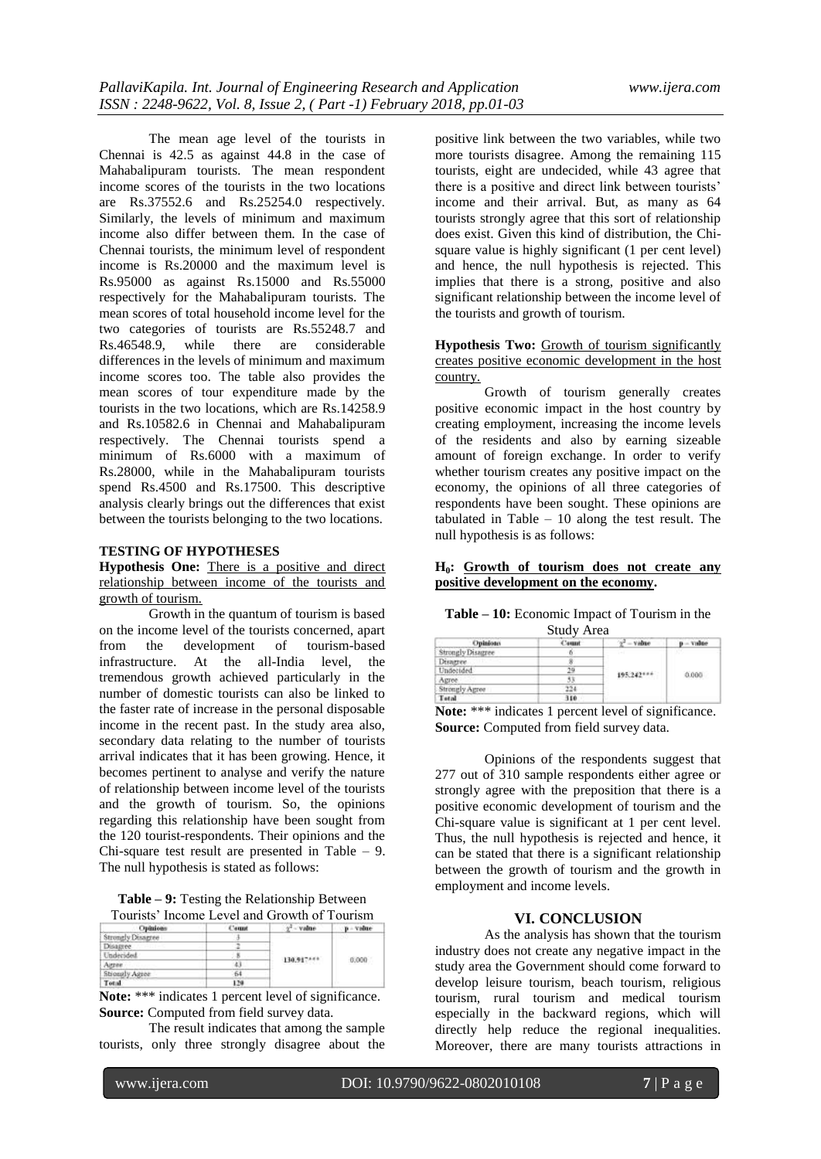The mean age level of the tourists in Chennai is 42.5 as against 44.8 in the case of Mahabalipuram tourists. The mean respondent income scores of the tourists in the two locations are Rs.37552.6 and Rs.25254.0 respectively. Similarly, the levels of minimum and maximum income also differ between them. In the case of Chennai tourists, the minimum level of respondent income is Rs.20000 and the maximum level is Rs.95000 as against Rs.15000 and Rs.55000 respectively for the Mahabalipuram tourists. The mean scores of total household income level for the two categories of tourists are Rs.55248.7 and<br>Rs.46548.9, while there are considerable there are considerable differences in the levels of minimum and maximum income scores too. The table also provides the mean scores of tour expenditure made by the tourists in the two locations, which are Rs.14258.9 and Rs.10582.6 in Chennai and Mahabalipuram respectively. The Chennai tourists spend a minimum of Rs.6000 with a maximum of Rs.28000, while in the Mahabalipuram tourists spend Rs.4500 and Rs.17500. This descriptive analysis clearly brings out the differences that exist between the tourists belonging to the two locations.

# **TESTING OF HYPOTHESES**

**Hypothesis One:** There is a positive and direct relationship between income of the tourists and growth of tourism.

Growth in the quantum of tourism is based on the income level of the tourists concerned, apart from the development of tourism-based infrastructure. At the all-India level, the tremendous growth achieved particularly in the number of domestic tourists can also be linked to the faster rate of increase in the personal disposable income in the recent past. In the study area also, secondary data relating to the number of tourists arrival indicates that it has been growing. Hence, it becomes pertinent to analyse and verify the nature of relationship between income level of the tourists and the growth of tourism. So, the opinions regarding this relationship have been sought from the 120 tourist-respondents. Their opinions and the Chi-square test result are presented in Table – 9. The null hypothesis is stated as follows:

**Table – 9:** Testing the Relationship Between Tourists' Income Level and Growth of Tourism

| Opinions          | C'arrest | $y'' -$ value | $p -$ visitre |
|-------------------|----------|---------------|---------------|
| Strongly Disagree |          |               |               |
| Disagree          |          |               | 0.000         |
| Undecided         |          |               |               |
| Atter             | 43.      | 130.917***    |               |
| Strongly Agree    | 64       |               |               |
| Total             | 120      |               |               |

Note: \*\*\* indicates 1 percent level of significance. **Source:** Computed from field survey data.

The result indicates that among the sample tourists, only three strongly disagree about the

positive link between the two variables, while two more tourists disagree. Among the remaining 115 tourists, eight are undecided, while 43 agree that there is a positive and direct link between tourists' income and their arrival. But, as many as 64 tourists strongly agree that this sort of relationship does exist. Given this kind of distribution, the Chisquare value is highly significant (1 per cent level) and hence, the null hypothesis is rejected. This implies that there is a strong, positive and also significant relationship between the income level of the tourists and growth of tourism.

**Hypothesis Two:** Growth of tourism significantly creates positive economic development in the host country.

Growth of tourism generally creates positive economic impact in the host country by creating employment, increasing the income levels of the residents and also by earning sizeable amount of foreign exchange. In order to verify whether tourism creates any positive impact on the economy, the opinions of all three categories of respondents have been sought. These opinions are tabulated in Table  $-10$  along the test result. The null hypothesis is as follows:

#### **H0: Growth of tourism does not create any positive development on the economy.**

| <b>Table – 10:</b> Economic Impact of Tourism in the |
|------------------------------------------------------|
| Study Area                                           |

| <b>Opinions</b>   | Count | $s^2 = v$ idite | - Value |  |  |
|-------------------|-------|-----------------|---------|--|--|
| Strongly Disagree |       |                 |         |  |  |
| Disarree.         |       | 195.242***      | 0.000   |  |  |
| Undecided         |       |                 |         |  |  |
| Agree.            |       |                 |         |  |  |
| Strongly Agree    | 24    |                 |         |  |  |
| Tetal             | 310   |                 |         |  |  |

Note: \*\*\* indicates 1 percent level of significance. **Source:** Computed from field survey data.

Opinions of the respondents suggest that 277 out of 310 sample respondents either agree or strongly agree with the preposition that there is a positive economic development of tourism and the Chi-square value is significant at 1 per cent level. Thus, the null hypothesis is rejected and hence, it can be stated that there is a significant relationship between the growth of tourism and the growth in employment and income levels.

# **VI. CONCLUSION**

As the analysis has shown that the tourism industry does not create any negative impact in the study area the Government should come forward to develop leisure tourism, beach tourism, religious tourism, rural tourism and medical tourism especially in the backward regions, which will directly help reduce the regional inequalities. Moreover, there are many tourists attractions in